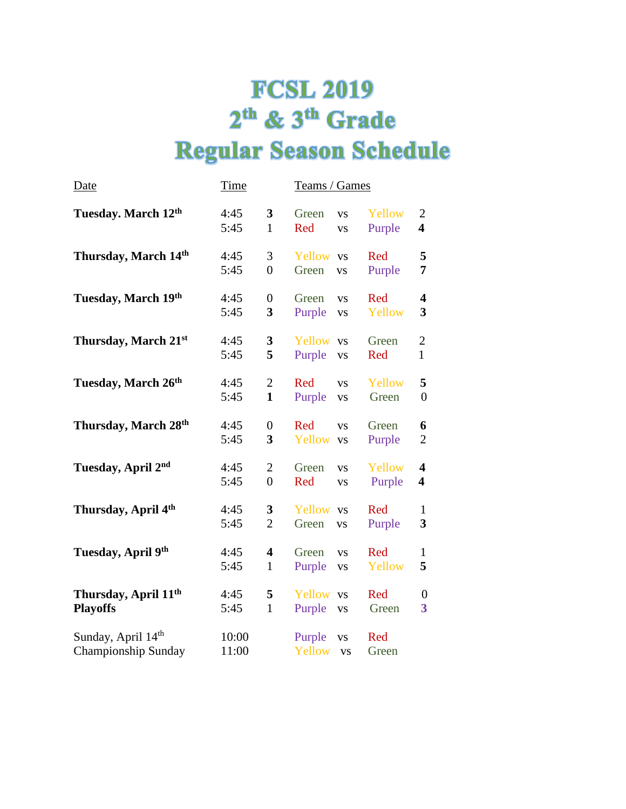## **FCSL 2019** 2<sup>th</sup> & 3<sup>th</sup> Grade **Regular Season Schedule**

| <u>Date</u>                                         | <u>Time</u>    |                                         | Teams / Games                              |                  |                                           |
|-----------------------------------------------------|----------------|-----------------------------------------|--------------------------------------------|------------------|-------------------------------------------|
| Tuesday. March 12th                                 | 4:45<br>5:45   | 3<br>$\mathbf{1}$                       | Green<br><b>VS</b><br>Red<br><b>VS</b>     | Yellow<br>Purple | $\overline{c}$<br>$\overline{\mathbf{4}}$ |
| Thursday, March 14th                                | 4:45<br>5:45   | 3<br>$\overline{0}$                     | Yellow vs<br>Green<br><b>VS</b>            | Red<br>Purple    | 5<br>7                                    |
| Tuesday, March 19th                                 | 4:45<br>5:45   | $\boldsymbol{0}$<br>3                   | Green<br><b>VS</b><br>Purple<br><b>VS</b>  | Red<br>Yellow    | 4<br>3                                    |
| Thursday, March 21st                                | 4:45<br>5:45   | 3<br>5                                  | Yellow vs<br>Purple<br><b>VS</b>           | Green<br>Red     | $\overline{2}$<br>$\mathbf{1}$            |
| Tuesday, March 26th                                 | 4:45<br>5:45   | $\overline{2}$<br>$\mathbf{1}$          | Red<br><b>VS</b><br>Purple<br><b>VS</b>    | Yellow<br>Green  | 5<br>$\overline{0}$                       |
| Thursday, March 28th                                | 4:45<br>5:45   | $\boldsymbol{0}$<br>3                   | Red<br><b>VS</b><br>Yellow vs              | Green<br>Purple  | 6<br>$\overline{2}$                       |
| Tuesday, April 2nd                                  | 4:45<br>5:45   | $\overline{2}$<br>$\overline{0}$        | Green<br><b>VS</b><br>Red<br><b>VS</b>     | Yellow<br>Purple | 4<br>$\overline{\mathbf{4}}$              |
| Thursday, April 4th                                 | 4:45<br>5:45   | 3<br>$\overline{2}$                     | Yellow vs<br>Green<br><b>VS</b>            | Red<br>Purple    | $\mathbf{1}$<br>3                         |
| Tuesday, April 9th                                  | 4:45<br>5:45   | $\overline{\mathbf{4}}$<br>$\mathbf{1}$ | Green<br><b>VS</b><br>Purple<br><b>VS</b>  | Red<br>Yellow    | $\mathbf{1}$<br>5                         |
| Thursday, April 11 <sup>th</sup><br><b>Playoffs</b> | 4:45<br>5:45   | 5<br>$\mathbf{1}$                       | Yellow<br><b>VS</b><br>Purple<br><b>VS</b> | Red<br>Green     | $\boldsymbol{0}$<br>3                     |
| Sunday, April 14th<br>Championship Sunday           | 10:00<br>11:00 |                                         | Purple<br><b>VS</b><br>Yellow<br><b>VS</b> | Red<br>Green     |                                           |